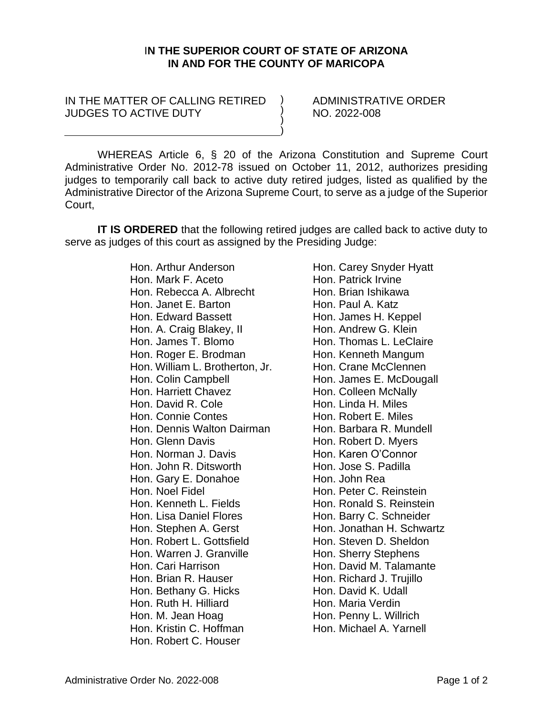## I**N THE SUPERIOR COURT OF STATE OF ARIZONA IN AND FOR THE COUNTY OF MARICOPA**

) ) ) )

## IN THE MATTER OF CALLING RETIRED JUDGES TO ACTIVE DUTY

ADMINISTRATIVE ORDER NO. 2022-008

WHEREAS Article 6, § 20 of the Arizona Constitution and Supreme Court Administrative Order No. 2012-78 issued on October 11, 2012, authorizes presiding judges to temporarily call back to active duty retired judges, listed as qualified by the Administrative Director of the Arizona Supreme Court, to serve as a judge of the Superior Court,

**IT IS ORDERED** that the following retired judges are called back to active duty to serve as judges of this court as assigned by the Presiding Judge:

> Hon. Arthur Anderson Hon. Mark F. Aceto Hon. Rebecca A. Albrecht Hon. Janet E. Barton Hon. Edward Bassett Hon. A. Craig Blakey, II Hon. James T. Blomo Hon. Roger E. Brodman Hon. William L. Brotherton, Jr. Hon. Colin Campbell Hon. Harriett Chavez Hon. David R. Cole Hon. Connie Contes Hon. Dennis Walton Dairman Hon. Glenn Davis Hon. Norman J. Davis Hon. John R. Ditsworth Hon. Gary E. Donahoe Hon. Noel Fidel Hon. Kenneth L. Fields Hon. Lisa Daniel Flores Hon. Stephen A. Gerst Hon. Robert L. Gottsfield Hon. Warren J. Granville Hon. Cari Harrison Hon. Brian R. Hauser Hon. Bethany G. Hicks Hon. Ruth H. Hilliard Hon. M. Jean Hoag Hon. Kristin C. Hoffman Hon. Robert C. Houser

Hon. Carey Snyder Hyatt Hon. Patrick Irvine Hon. Brian Ishikawa Hon. Paul A. Katz Hon. James H. Keppel Hon. Andrew G. Klein Hon. Thomas L. LeClaire Hon. Kenneth Mangum Hon. Crane McClennen Hon. James E. McDougall Hon. Colleen McNally Hon. Linda H. Miles Hon. Robert E. Miles Hon. Barbara R. Mundell Hon. Robert D. Myers Hon. Karen O'Connor Hon. Jose S. Padilla Hon. John Rea Hon. Peter C. Reinstein Hon. Ronald S. Reinstein Hon. Barry C. Schneider Hon. Jonathan H. Schwartz Hon. Steven D. Sheldon Hon. Sherry Stephens Hon. David M. Talamante Hon. Richard J. Trujillo Hon. David K. Udall Hon. Maria Verdin Hon. Penny L. Willrich Hon. Michael A. Yarnell